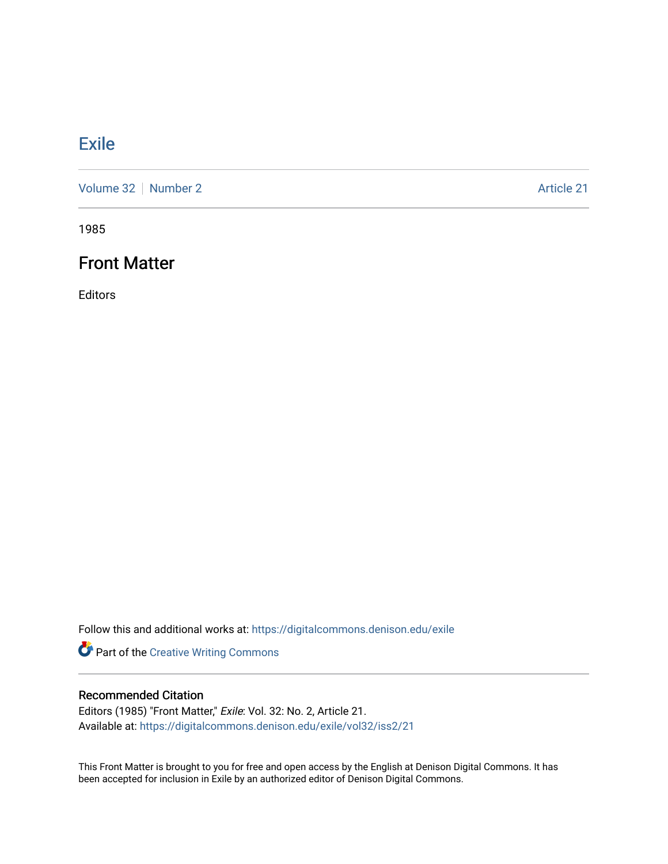### **[Exile](https://digitalcommons.denison.edu/exile)**

[Volume 32](https://digitalcommons.denison.edu/exile/vol32) [Number 2](https://digitalcommons.denison.edu/exile/vol32/iss2) Article 21

1985

### Front Matter

Editors

Follow this and additional works at: [https://digitalcommons.denison.edu/exile](https://digitalcommons.denison.edu/exile?utm_source=digitalcommons.denison.edu%2Fexile%2Fvol32%2Fiss2%2F21&utm_medium=PDF&utm_campaign=PDFCoverPages) 

Part of the [Creative Writing Commons](http://network.bepress.com/hgg/discipline/574?utm_source=digitalcommons.denison.edu%2Fexile%2Fvol32%2Fiss2%2F21&utm_medium=PDF&utm_campaign=PDFCoverPages) 

#### Recommended Citation

Editors (1985) "Front Matter," Exile: Vol. 32: No. 2, Article 21. Available at: [https://digitalcommons.denison.edu/exile/vol32/iss2/21](https://digitalcommons.denison.edu/exile/vol32/iss2/21?utm_source=digitalcommons.denison.edu%2Fexile%2Fvol32%2Fiss2%2F21&utm_medium=PDF&utm_campaign=PDFCoverPages)

This Front Matter is brought to you for free and open access by the English at Denison Digital Commons. It has been accepted for inclusion in Exile by an authorized editor of Denison Digital Commons.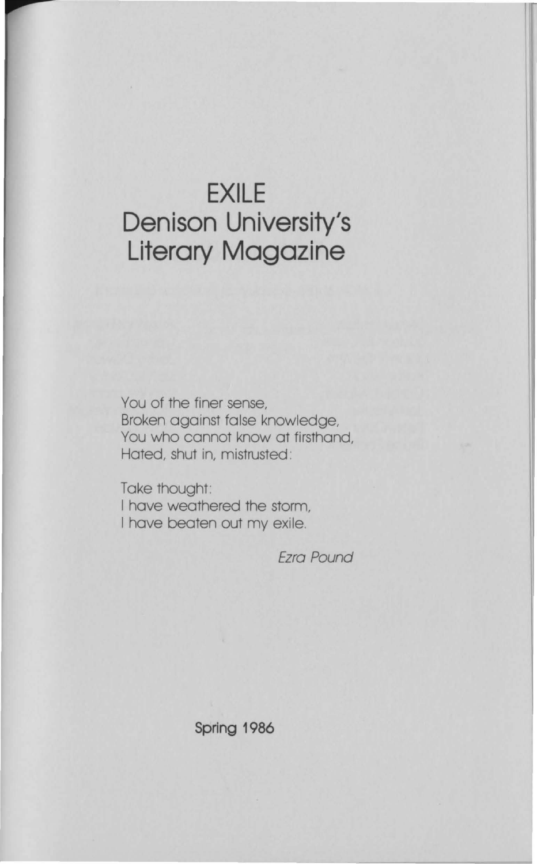## **EXILE Denison University's Literary Magazine**

You of the finer sense, Broken against false knowledge, You who cannot know at firsthand, Hated, shut in, mistrusted :

Take thought: I have weathered the storm, I have beaten out my exile.

Ezra Pound

**Spring 1986**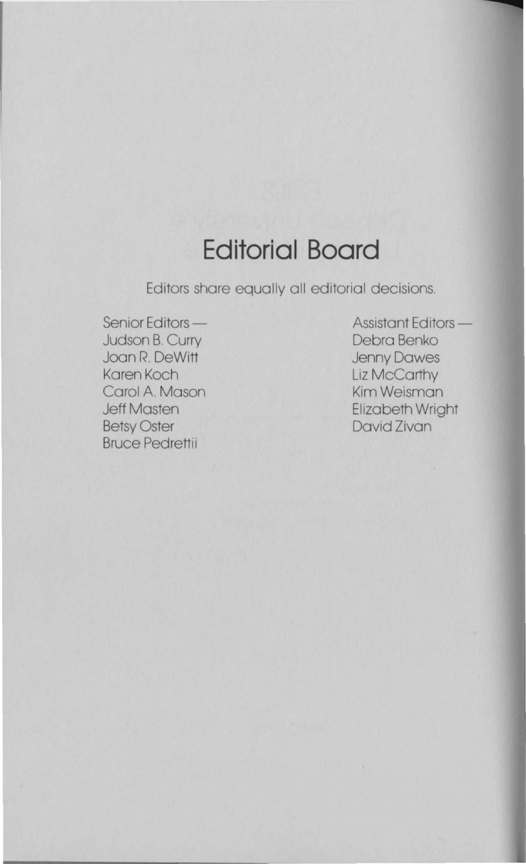## **Editorial Board**

Editors share equally all editorial decisions.

Senior Editors -Judson B. Curry Joan R. DeWitt Karen Koch Carol A. Mason Jeff Masten Betsy Oster Bruce Pedrettii

Assistant Editors-Debra Benko Jenny Dawes Liz McCarthy Kim Weisman Elizabeth Wright David Zivan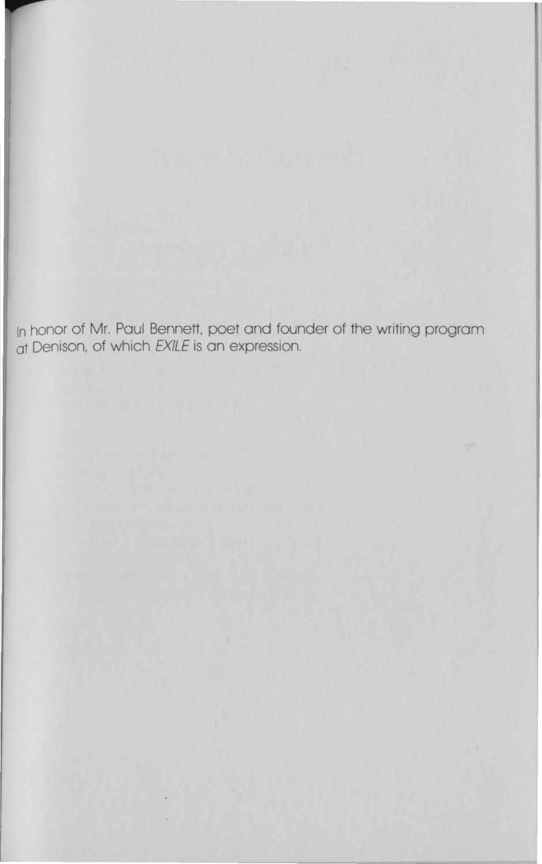In honor of Mr. Paul Bennett, poet and founder of the writing program at Denison, of which EXILE is an expression.